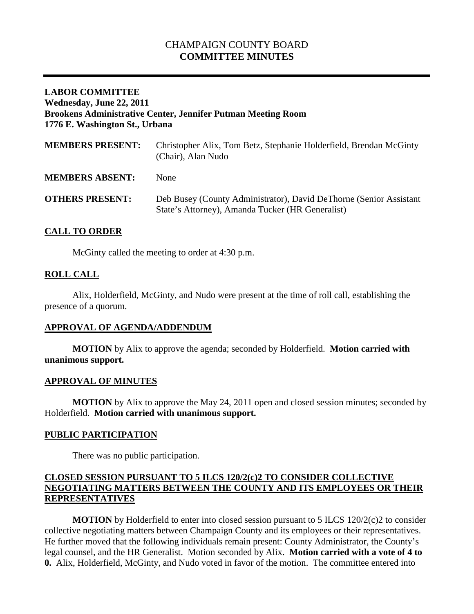# CHAMPAIGN COUNTY BOARD **COMMITTEE MINUTES**

## **LABOR COMMITTEE Wednesday, June 22, 2011 Brookens Administrative Center, Jennifer Putman Meeting Room 1776 E. Washington St., Urbana**

| <b>MEMBERS PRESENT:</b> | Christopher Alix, Tom Betz, Stephanie Holderfield, Brendan McGinty<br>(Chair), Alan Nudo                               |
|-------------------------|------------------------------------------------------------------------------------------------------------------------|
| <b>MEMBERS ABSENT:</b>  | None                                                                                                                   |
| <b>OTHERS PRESENT:</b>  | Deb Busey (County Administrator), David DeThorne (Senior Assistant<br>State's Attorney), Amanda Tucker (HR Generalist) |

## **CALL TO ORDER**

McGinty called the meeting to order at 4:30 p.m.

#### **ROLL CALL**

Alix, Holderfield, McGinty, and Nudo were present at the time of roll call, establishing the presence of a quorum.

#### **APPROVAL OF AGENDA/ADDENDUM**

**MOTION** by Alix to approve the agenda; seconded by Holderfield. **Motion carried with unanimous support.**

#### **APPROVAL OF MINUTES**

**MOTION** by Alix to approve the May 24, 2011 open and closed session minutes; seconded by Holderfield. **Motion carried with unanimous support.**

#### **PUBLIC PARTICIPATION**

There was no public participation.

## **CLOSED SESSION PURSUANT TO 5 ILCS 120/2(c)2 TO CONSIDER COLLECTIVE NEGOTIATING MATTERS BETWEEN THE COUNTY AND ITS EMPLOYEES OR THEIR REPRESENTATIVES**

**MOTION** by Holderfield to enter into closed session pursuant to 5 ILCS 120/2(c)2 to consider collective negotiating matters between Champaign County and its employees or their representatives. He further moved that the following individuals remain present: County Administrator, the County's legal counsel, and the HR Generalist. Motion seconded by Alix. **Motion carried with a vote of 4 to 0.** Alix, Holderfield, McGinty, and Nudo voted in favor of the motion. The committee entered into